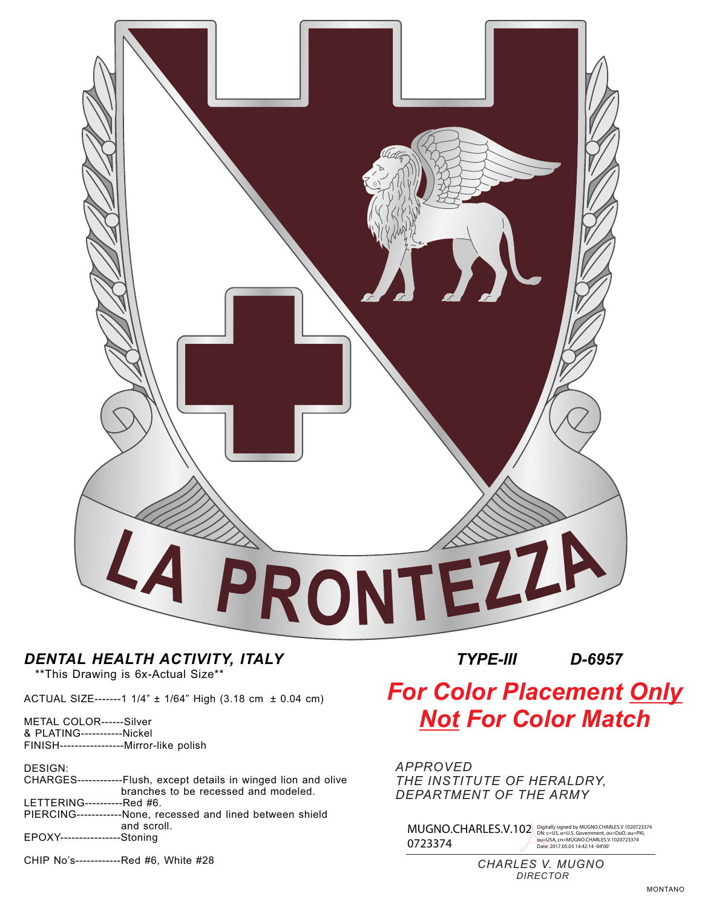

## *DENTAL HEALTH ACTIVITY, ITALY*

\*\*This Drawing is 6x-Actual Size\*\*

ACTUAL SIZE-------1 1/4" ± 1/64" High (3.18 cm ± 0.04 cm)

METAL COLOR------Silver & PLATING-----------Nickel FINISH-----------------Mirror-like polish

DESIGN:

|                               | CHARGES-------------Flush, except details in winged lion and olive |
|-------------------------------|--------------------------------------------------------------------|
|                               | branches to be recessed and modeled.                               |
| LETTERING-----------Red #6.   |                                                                    |
|                               | PIERCING-------------None, recessed and lined between shield       |
|                               | and scroll.                                                        |
| EPOXY-----------------Stoning |                                                                    |

CHIP No's------------Red #6, White #28

*TYPE-III D-6957* 

## *For Color Placement Only Not For Color Match*

*APPROVED THE INSTITUTE OF HERALDRY, DEPARTMENT OF THE ARMY*

MUGNO.CHARLES.V.102 0723374 Digitally signed by MUGNO.CHARLES.V.1020723374<br>DN: c=US, o=U.S. Government, ou=DoD, ou=PKI,<br>ou=USA, cn=MUGNO.CHARLES.V.1020723374<br>Date: 2017.05.05 14:42:14 -04'00'

> *CHARLES V. MUGNO DIRECTOR*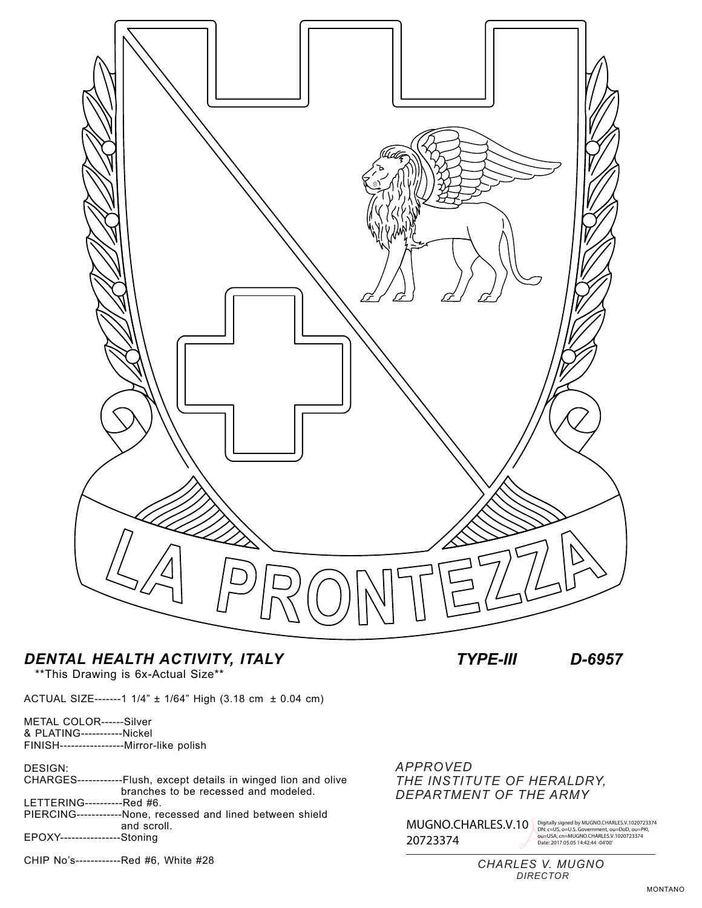

## *DENTAL HEALTH ACTIVITY, ITALY TYPE-III D-6957*

\*\*This Drawing is 6x-Actual Size\*\*

ACTUAL SIZE-------1 1/4" ± 1/64" High (3.18 cm ± 0.04 cm)

METAL COLOR------Silver & PLATING-----------Nickel FINISH-----------------Mirror-like polish

DESIGN:

|                               | CHARGES-------------Flush, except details in winged lion and olive |
|-------------------------------|--------------------------------------------------------------------|
|                               | branches to be recessed and modeled.                               |
| LETTERING-----------Red #6.   |                                                                    |
|                               | PIERCING-------------None, recessed and lined between shield       |
|                               | and scroll.                                                        |
| EPOXY-----------------Stoning |                                                                    |

CHIP No's------------Red #6, White #28

*APPROVED THE INSTITUTE OF HERALDRY, DEPARTMENT OF THE ARMY*

MUGNO.CHARLES.V.10 Digitally signed by MUGNO.CHARLES.V.1020723374<br>
20723374 DN: C=US, 0=USA, cn=MUGNO.CHARLES.V.1020723374<br>
Date: 2017.05.05 14:42:44 -04:00<br>
CHARLES V. MUGNO<br>
DIRECTOR 20723374

Digitally signed by MUGNO.CHARLES.V.1020723374<br>DN: c=US, o=U.S. Government, ou=DoD, ou=PKI,<br>ou=USA, cn=MUGNO.CHARLES.V.1020723374<br>Date: 2017.05.05 14:42:44 -04'00'

*CHARLES V. MUGNO DIRECTOR*